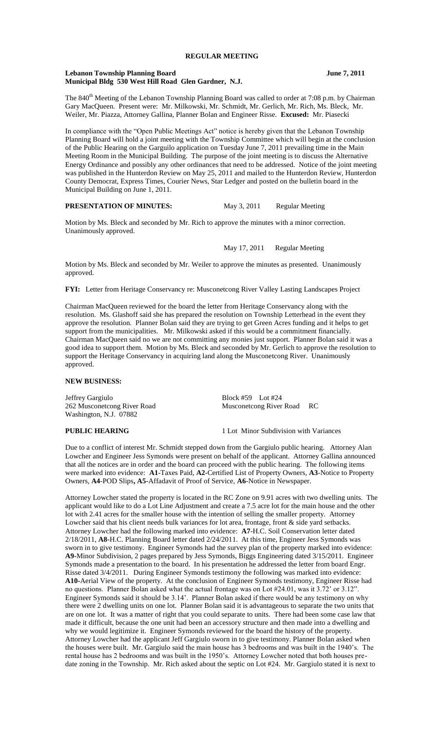## **Lebanon Township Planning Board June 7, 2011 Municipal Bldg 530 West Hill Road Glen Gardner, N.J.**

The 840<sup>th</sup> Meeting of the Lebanon Township Planning Board was called to order at 7:08 p.m. by Chairman Gary MacQueen. Present were: Mr. Milkowski, Mr. Schmidt, Mr. Gerlich, Mr. Rich, Ms. Bleck, Mr. Weiler, Mr. Piazza, Attorney Gallina, Planner Bolan and Engineer Risse. **Excused:** Mr. Piasecki

In compliance with the "Open Public Meetings Act" notice is hereby given that the Lebanon Township Planning Board will hold a joint meeting with the Township Committee which will begin at the conclusion of the Public Hearing on the Garguilo application on Tuesday June 7, 2011 prevailing time in the Main Meeting Room in the Municipal Building. The purpose of the joint meeting is to discuss the Alternative Energy Ordinance and possibly any other ordinances that need to be addressed. Notice of the joint meeting was published in the Hunterdon Review on May 25, 2011 and mailed to the Hunterdon Review, Hunterdon County Democrat, Express Times, Courier News, Star Ledger and posted on the bulletin board in the Municipal Building on June 1, 2011.

# **PRESENTATION OF MINUTES:** May 3, 2011 Regular Meeting

Motion by Ms. Bleck and seconded by Mr. Rich to approve the minutes with a minor correction. Unanimously approved.

May 17, 2011 Regular Meeting

Motion by Ms. Bleck and seconded by Mr. Weiler to approve the minutes as presented. Unanimously approved.

**FYI:** Letter from Heritage Conservancy re: Musconetcong River Valley Lasting Landscapes Project

Chairman MacQueen reviewed for the board the letter from Heritage Conservancy along with the resolution. Ms. Glashoff said she has prepared the resolution on Township Letterhead in the event they approve the resolution. Planner Bolan said they are trying to get Green Acres funding and it helps to get support from the municipalities. Mr. Milkowski asked if this would be a commitment financially. Chairman MacQueen said no we are not committing any monies just support. Planner Bolan said it was a good idea to support them. Motion by Ms. Bleck and seconded by Mr. Gerlich to approve the resolution to support the Heritage Conservancy in acquiring land along the Musconetcong River. Unanimously approved.

#### **NEW BUSINESS:**

Jeffrey Gargiulo Block #59 Lot #24 262 Musconetcong River Road Musconetcong River Road RC Washington, N.J. 07882

**PUBLIC HEARING** 1 Lot Minor Subdivision with Variances

Due to a conflict of interest Mr. Schmidt stepped down from the Gargiulo public hearing. Attorney Alan Lowcher and Engineer Jess Symonds were present on behalf of the applicant. Attorney Gallina announced that all the notices are in order and the board can proceed with the public hearing. The following items were marked into evidence: **A1**-Taxes Paid, **A2**-Certified List of Property Owners, **A3**-Notice to Property Owners, **A4**-POD Slips**, A5**-Affadavit of Proof of Service, **A6**-Notice in Newspaper.

Attorney Lowcher stated the property is located in the RC Zone on 9.91 acres with two dwelling units. The applicant would like to do a Lot Line Adjustment and create a 7.5 acre lot for the main house and the other lot with 2.41 acres for the smaller house with the intention of selling the smaller property. Attorney Lowcher said that his client needs bulk variances for lot area, frontage, front & side yard setbacks. Attorney Lowcher had the following marked into evidence: **A7**-H.C. Soil Conservation letter dated 2/18/2011, **A8-**H.C. Planning Board letter dated 2/24/2011. At this time, Engineer Jess Symonds was sworn in to give testimony. Engineer Symonds had the survey plan of the property marked into evidence: **A9-**Minor Subdivision, 2 pages prepared by Jess Symonds, Biggs Engineering dated 3/15/2011. Engineer Symonds made a presentation to the board. In his presentation he addressed the letter from board Engr. Risse dated 3/4/2011. During Engineer Symonds testimony the following was marked into evidence: **A10-**Aerial View of the property. At the conclusion of Engineer Symonds testimony, Engineer Risse had no questions. Planner Bolan asked what the actual frontage was on Lot #24.01, was it 3.72' or 3.12". Engineer Symonds said it should be 3.14'. Planner Bolan asked if there would be any testimony on why there were 2 dwelling units on one lot. Planner Bolan said it is advantageous to separate the two units that are on one lot. It was a matter of right that you could separate to units. There had been some case law that made it difficult, because the one unit had been an accessory structure and then made into a dwelling and why we would legitimize it. Engineer Symonds reviewed for the board the history of the property. Attorney Lowcher had the applicant Jeff Gargiulo sworn in to give testimony. Planner Bolan asked when the houses were built. Mr. Gargiulo said the main house has 3 bedrooms and was built in the 1940's. The rental house has 2 bedrooms and was built in the 1950's. Attorney Lowcher noted that both houses predate zoning in the Township. Mr. Rich asked about the septic on Lot #24. Mr. Gargiulo stated it is next to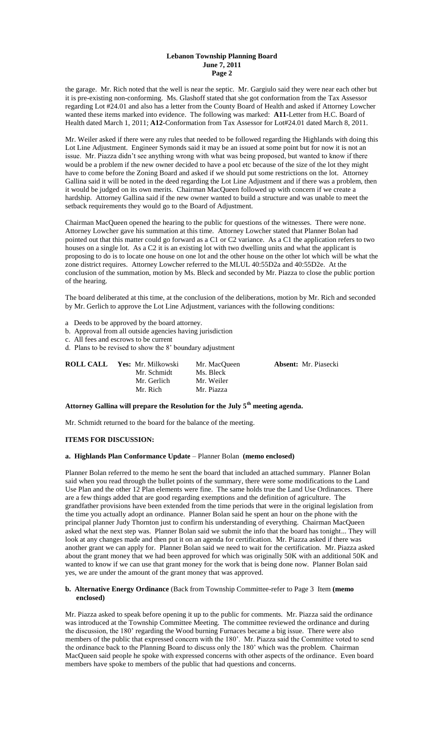### **Lebanon Township Planning Board June 7, 2011 Page 2**

the garage. Mr. Rich noted that the well is near the septic. Mr. Gargiulo said they were near each other but it is pre-existing non-conforming. Ms. Glashoff stated that she got conformation from the Tax Assessor regarding Lot #24.01 and also has a letter from the County Board of Health and asked if Attorney Lowcher wanted these items marked into evidence. The following was marked: **A11**-Letter from H.C. Board of Health dated March 1, 2011; **A12**-Conformation from Tax Assessor for Lot#24.01 dated March 8, 2011.

Mr. Weiler asked if there were any rules that needed to be followed regarding the Highlands with doing this Lot Line Adjustment. Engineer Symonds said it may be an issued at some point but for now it is not an issue. Mr. Piazza didn't see anything wrong with what was being proposed, but wanted to know if there would be a problem if the new owner decided to have a pool etc because of the size of the lot they might have to come before the Zoning Board and asked if we should put some restrictions on the lot. Attorney Gallina said it will be noted in the deed regarding the Lot Line Adjustment and if there was a problem, then it would be judged on its own merits. Chairman MacQueen followed up with concern if we create a hardship. Attorney Gallina said if the new owner wanted to build a structure and was unable to meet the setback requirements they would go to the Board of Adjustment.

Chairman MacQueen opened the hearing to the public for questions of the witnesses. There were none. Attorney Lowcher gave his summation at this time. Attorney Lowcher stated that Planner Bolan had pointed out that this matter could go forward as a C1 or C2 variance. As a C1 the application refers to two houses on a single lot. As a C2 it is an existing lot with two dwelling units and what the applicant is proposing to do is to locate one house on one lot and the other house on the other lot which will be what the zone district requires. Attorney Lowcher referred to the MLUL 40:55D2a and 40:55D2e. At the conclusion of the summation, motion by Ms. Bleck and seconded by Mr. Piazza to close the public portion of the hearing.

The board deliberated at this time, at the conclusion of the deliberations, motion by Mr. Rich and seconded by Mr. Gerlich to approve the Lot Line Adjustment, variances with the following conditions:

- a Deeds to be approved by the board attorney.
- b. Approval from all outside agencies having jurisdiction
- c. All fees and escrows to be current

d. Plans to be revised to show the 8' boundary adjustment

| <b>ROLL CALL</b> Yes: Mr. Milkowski | Mr. MacOueen | <b>Absent:</b> Mr. Piasecki |
|-------------------------------------|--------------|-----------------------------|
| Mr. Schmidt                         | Ms. Bleck    |                             |
| Mr. Gerlich                         | Mr. Weiler   |                             |
| Mr. Rich                            | Mr. Piazza   |                             |

**Attorney Gallina will prepare the Resolution for the July 5th meeting agenda.**

Mr. Schmidt returned to the board for the balance of the meeting.

#### **ITEMS FOR DISCUSSION:**

#### **a. Highlands Plan Conformance Update** – Planner Bolan **(memo enclosed)**

Planner Bolan referred to the memo he sent the board that included an attached summary. Planner Bolan said when you read through the bullet points of the summary, there were some modifications to the Land Use Plan and the other 12 Plan elements were fine. The same holds true the Land Use Ordinances. There are a few things added that are good regarding exemptions and the definition of agriculture. The grandfather provisions have been extended from the time periods that were in the original legislation from the time you actually adopt an ordinance. Planner Bolan said he spent an hour on the phone with the principal planner Judy Thornton just to confirm his understanding of everything. Chairman MacQueen asked what the next step was. Planner Bolan said we submit the info that the board has tonight... They will look at any changes made and then put it on an agenda for certification. Mr. Piazza asked if there was another grant we can apply for. Planner Bolan said we need to wait for the certification. Mr. Piazza asked about the grant money that we had been approved for which was originally 50K with an additional 50K and wanted to know if we can use that grant money for the work that is being done now. Planner Bolan said yes, we are under the amount of the grant money that was approved.

#### **b. Alternative Energy Ordinance** (Back from Township Committee-refer to Page 3 Item **(memo enclosed)**

Mr. Piazza asked to speak before opening it up to the public for comments. Mr. Piazza said the ordinance was introduced at the Township Committee Meeting. The committee reviewed the ordinance and during the discussion, the 180' regarding the Wood burning Furnaces became a big issue. There were also members of the public that expressed concern with the 180'. Mr. Piazza said the Committee voted to send the ordinance back to the Planning Board to discuss only the 180' which was the problem. Chairman MacQueen said people he spoke with expressed concerns with other aspects of the ordinance. Even board members have spoke to members of the public that had questions and concerns.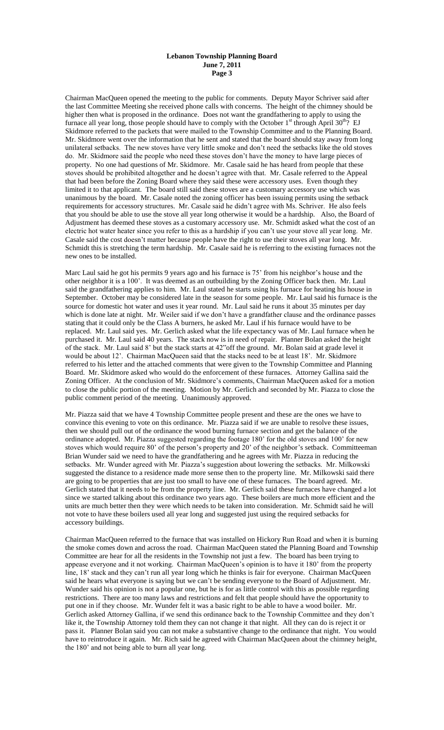### **Lebanon Township Planning Board June 7, 2011 Page 3**

Chairman MacQueen opened the meeting to the public for comments. Deputy Mayor Schriver said after the last Committee Meeting she received phone calls with concerns. The height of the chimney should be higher then what is proposed in the ordinance. Does not want the grandfathering to apply to using the furnace all year long, those people should have to comply with the October  $1<sup>st</sup>$  through April 30<sup>th</sup>? EJ Skidmore referred to the packets that were mailed to the Township Committee and to the Planning Board. Mr. Skidmore went over the information that he sent and stated that the board should stay away from long unilateral setbacks. The new stoves have very little smoke and don't need the setbacks like the old stoves do. Mr. Skidmore said the people who need these stoves don't have the money to have large pieces of property. No one had questions of Mr. Skidmore. Mr. Casale said he has heard from people that these stoves should be prohibited altogether and he doesn't agree with that. Mr. Casale referred to the Appeal that had been before the Zoning Board where they said these were accessory uses. Even though they limited it to that applicant. The board still said these stoves are a customary accessory use which was unanimous by the board. Mr. Casale noted the zoning officer has been issuing permits using the setback requirements for accessory structures. Mr. Casale said he didn't agree with Ms. Schriver. He also feels that you should be able to use the stove all year long otherwise it would be a hardship. Also, the Board of Adjustment has deemed these stoves as a customary accessory use. Mr. Schmidt asked what the cost of an electric hot water heater since you refer to this as a hardship if you can't use your stove all year long. Mr. Casale said the cost doesn't matter because people have the right to use their stoves all year long. Mr. Schmidt this is stretching the term hardship. Mr. Casale said he is referring to the existing furnaces not the new ones to be installed.

Marc Laul said he got his permits 9 years ago and his furnace is 75' from his neighbor's house and the other neighbor it is a 100'. It was deemed as an outbuilding by the Zoning Officer back then. Mr. Laul said the grandfathering applies to him. Mr. Laul stated he starts using his furnace for heating his house in September. October may be considered late in the season for some people. Mr. Laul said his furnace is the source for domestic hot water and uses it year round. Mr. Laul said he runs it about 35 minutes per day which is done late at night. Mr. Weiler said if we don't have a grandfather clause and the ordinance passes stating that it could only be the Class A burners, he asked Mr. Laul if his furnace would have to be replaced. Mr. Laul said yes. Mr. Gerlich asked what the life expectancy was of Mr. Laul furnace when he purchased it. Mr. Laul said 40 years. The stack now is in need of repair. Planner Bolan asked the height of the stack. Mr. Laul said 8' but the stack starts at 42"off the ground. Mr. Bolan said at grade level it would be about 12'. Chairman MacQueen said that the stacks need to be at least 18'. Mr. Skidmore referred to his letter and the attached comments that were given to the Township Committee and Planning Board. Mr. Skidmore asked who would do the enforcement of these furnaces. Attorney Gallina said the Zoning Officer. At the conclusion of Mr. Skidmore's comments, Chairman MacQueen asked for a motion to close the public portion of the meeting. Motion by Mr. Gerlich and seconded by Mr. Piazza to close the public comment period of the meeting. Unanimously approved.

Mr. Piazza said that we have 4 Township Committee people present and these are the ones we have to convince this evening to vote on this ordinance. Mr. Piazza said if we are unable to resolve these issues, then we should pull out of the ordinance the wood burning furnace section and get the balance of the ordinance adopted. Mr. Piazza suggested regarding the footage 180' for the old stoves and 100' for new stoves which would require 80' of the person's property and 20' of the neighbor's setback. Committeeman Brian Wunder said we need to have the grandfathering and he agrees with Mr. Piazza in reducing the setbacks. Mr. Wunder agreed with Mr. Piazza's suggestion about lowering the setbacks. Mr. Milkowski suggested the distance to a residence made more sense then to the property line. Mr. Milkowski said there are going to be properties that are just too small to have one of these furnaces. The board agreed. Mr. Gerlich stated that it needs to be from the property line. Mr. Gerlich said these furnaces have changed a lot since we started talking about this ordinance two years ago. These boilers are much more efficient and the units are much better then they were which needs to be taken into consideration. Mr. Schmidt said he will not vote to have these boilers used all year long and suggested just using the required setbacks for accessory buildings.

Chairman MacQueen referred to the furnace that was installed on Hickory Run Road and when it is burning the smoke comes down and across the road. Chairman MacQueen stated the Planning Board and Township Committee are hear for all the residents in the Township not just a few. The board has been trying to appease everyone and it not working. Chairman MacQueen's opinion is to have it 180' from the property line, 18' stack and they can't run all year long which he thinks is fair for everyone. Chairman MacQueen said he hears what everyone is saying but we can't be sending everyone to the Board of Adjustment. Mr. Wunder said his opinion is not a popular one, but he is for as little control with this as possible regarding restrictions. There are too many laws and restrictions and felt that people should have the opportunity to put one in if they choose. Mr. Wunder felt it was a basic right to be able to have a wood boiler. Mr. Gerlich asked Attorney Gallina, if we send this ordinance back to the Township Committee and they don't like it, the Township Attorney told them they can not change it that night. All they can do is reject it or pass it. Planner Bolan said you can not make a substantive change to the ordinance that night. You would have to reintroduce it again. Mr. Rich said he agreed with Chairman MacQueen about the chimney height, the 180' and not being able to burn all year long.